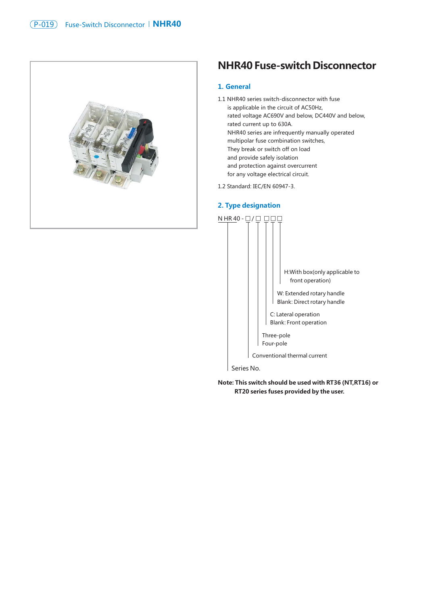

# **NHR40 Fuse-switch Disconnector**

# **1. General**

- 1.1 NHR40 series switch-disconnector with fuse is applicable in the circuit of AC50Hz, rated voltage AC690V and below, DC440V and below, rated current up to 630A. NHR40 series are infrequently manually operated multipolar fuse combination switches, They break or switch off on load and provide safely isolation and protection against overcurrent for any voltage electrical circuit.
- 1.2 Standard: IEC/EN 60947-3.

### **2. Type designation**



Series No.

**Note: This switch should be used with RT36 (NT,RT16) or RT20 series fuses provided by the user.**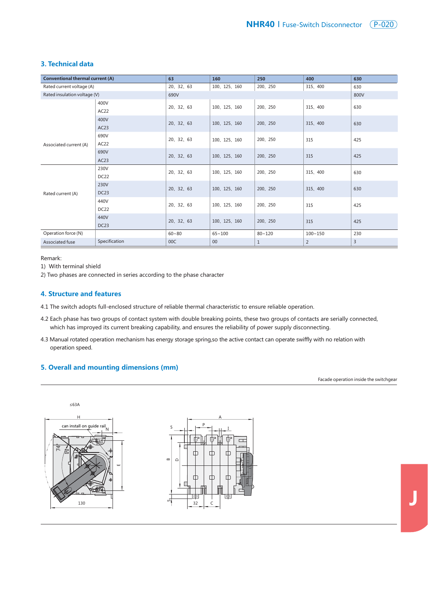

| <b>Conventional thermal current (A)</b> |                  | 63         | 160           | 250          | 400         | 630 |  |
|-----------------------------------------|------------------|------------|---------------|--------------|-------------|-----|--|
| Rated current voltage (A)               |                  | 20, 32, 63 | 100, 125, 160 | 200、250      | 315、400     | 630 |  |
| Rated insulation voltage (V)            |                  | 690V       | 800V          |              |             |     |  |
|                                         | 400V             | 20, 32, 63 | 100, 125, 160 | 200、250      | 315、400     | 630 |  |
|                                         | AC22             |            |               |              |             |     |  |
|                                         | 400V             | 20, 32, 63 | 100, 125, 160 | 200、250      | 315、400     | 630 |  |
|                                         | AC23             |            |               |              |             |     |  |
|                                         | 690V             | 20, 32, 63 | 100, 125, 160 | 200、250      | 315         | 425 |  |
| Associated current (A)                  | AC22             |            |               |              |             |     |  |
|                                         | 690V             | 20, 32, 63 | 100, 125, 160 | 200、250      | 315         | 425 |  |
|                                         | AC23             |            |               |              |             |     |  |
| Rated current (A)                       | 230V             | 20, 32, 63 | 100, 125, 160 | 200、250      | 315、400     | 630 |  |
|                                         | DC <sub>22</sub> |            |               |              |             |     |  |
|                                         | 230V             | 20, 32, 63 | 100, 125, 160 | 200、250      | 315、400     | 630 |  |
|                                         | DC <sub>23</sub> |            |               |              |             |     |  |
|                                         | 440V             | 20, 32, 63 | 100, 125, 160 | 200、250      | 315         | 425 |  |
|                                         | <b>DC22</b>      |            |               |              |             |     |  |
|                                         | 440V             | 20, 32, 63 | 100, 125, 160 | 200、250      | 315         | 425 |  |
|                                         | DC <sub>23</sub> |            |               |              |             |     |  |
| Operation force (N)                     |                  | $60 - 80$  | $65 - 100$    | $80 - 120$   | $100 - 150$ | 230 |  |
| Associated fuse                         | Specification    | 00C        | 00            | $\mathbf{1}$ | 2           | 3   |  |

Remark:

1) With terminal shield

2) Two phases are connected in series according to the phase character

#### **4. Structure and features**

4.1 The switch adopts full-enclosed structure of reliable thermal characteristic to ensure reliable operation.

- 4.2 Each phase has two groups of contact system with double breaking points, these two groups of contacts are serially connected, which has improyed its current breaking capability, and ensures the reliability of power supply disconnecting.
- 4.3 Manual rotated operation mechanism has energy storage spring,so the active contact can operate swiffly with no relation with operation speed.

## **5. Overall and mounting dimensions (mm)**

Facade operation inside the switchgear

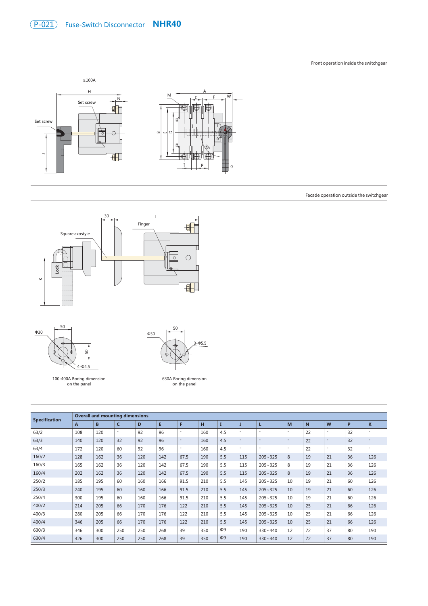

Facade operation outside the switchgear





100-400A Boring dimension on the panel



630A Boring dimension on the panel

| <b>Specification</b> | <b>Overall and mounting dimensions</b> |     |                          |     |     |                          |     |          |                          |                          |                          |             |                          |    |                          |
|----------------------|----------------------------------------|-----|--------------------------|-----|-----|--------------------------|-----|----------|--------------------------|--------------------------|--------------------------|-------------|--------------------------|----|--------------------------|
|                      | A                                      | B   | $\mathsf{C}$             | D   | E   | F                        | н   |          | J                        | L                        | M                        | $\mathbf N$ | W                        | P  | $\mathbf K$              |
| 63/2                 | 108                                    | 120 | $\overline{\phantom{a}}$ | 92  | 96  | $\overline{\phantom{a}}$ | 160 | 4.5      | $\overline{\phantom{a}}$ | $\overline{\phantom{a}}$ | $\overline{\phantom{a}}$ | 22          | $\overline{\phantom{a}}$ | 32 | $\overline{\phantom{a}}$ |
| 63/3                 | 140                                    | 120 | 32                       | 92  | 96  | $\overline{\phantom{a}}$ | 160 | 4.5      | $\overline{\phantom{a}}$ | $\overline{\phantom{a}}$ | $\overline{\phantom{a}}$ | 22          | $\overline{\phantom{a}}$ | 32 | $\overline{\phantom{a}}$ |
| 63/4                 | 172                                    | 120 | 60                       | 92  | 96  | ٠                        | 160 | 4.5      | $\sim$                   | $\sim$                   | $\sim$                   | 22          | $\overline{\phantom{a}}$ | 32 | $\overline{\phantom{a}}$ |
| 160/2                | 128                                    | 162 | 36                       | 120 | 142 | 67.5                     | 190 | 5.5      | 115                      | $205 - 325$              | 8                        | 19          | 21                       | 36 | 126                      |
| 160/3                | 165                                    | 162 | 36                       | 120 | 142 | 67.5                     | 190 | 5.5      | 115                      | $205 - 325$              | 8                        | 19          | 21                       | 36 | 126                      |
| 160/4                | 202                                    | 162 | 36                       | 120 | 142 | 67.5                     | 190 | 5.5      | 115                      | $205 - 325$              | 8                        | 19          | 21                       | 36 | 126                      |
| 250/2                | 185                                    | 195 | 60                       | 160 | 166 | 91.5                     | 210 | 5.5      | 145                      | $205 - 325$              | 10                       | 19          | 21                       | 60 | 126                      |
| 250/3                | 240                                    | 195 | 60                       | 160 | 166 | 91.5                     | 210 | 5.5      | 145                      | $205 - 325$              | 10                       | 19          | 21                       | 60 | 126                      |
| 250/4                | 300                                    | 195 | 60                       | 160 | 166 | 91.5                     | 210 | 5.5      | 145                      | $205 - 325$              | 10                       | 19          | 21                       | 60 | 126                      |
| 400/2                | 214                                    | 205 | 66                       | 170 | 176 | 122                      | 210 | 5.5      | 145                      | $205 - 325$              | 10                       | 25          | 21                       | 66 | 126                      |
| 400/3                | 280                                    | 205 | 66                       | 170 | 176 | 122                      | 210 | 5.5      | 145                      | $205 - 325$              | 10                       | 25          | 21                       | 66 | 126                      |
| 400/4                | 346                                    | 205 | 66                       | 170 | 176 | 122                      | 210 | 5.5      | 145                      | $205 - 325$              | 10                       | 25          | 21                       | 66 | 126                      |
| 630/3                | 346                                    | 300 | 250                      | 250 | 268 | 39                       | 350 | $\Phi$ 9 | 190                      | $330 - 440$              | 12                       | 72          | 37                       | 80 | 190                      |
| 630/4                | 426                                    | 300 | 250                      | 250 | 268 | 39                       | 350 | $\Phi$ 9 | 190                      | $330 - 440$              | 12                       | 72          | 37                       | 80 | 190                      |